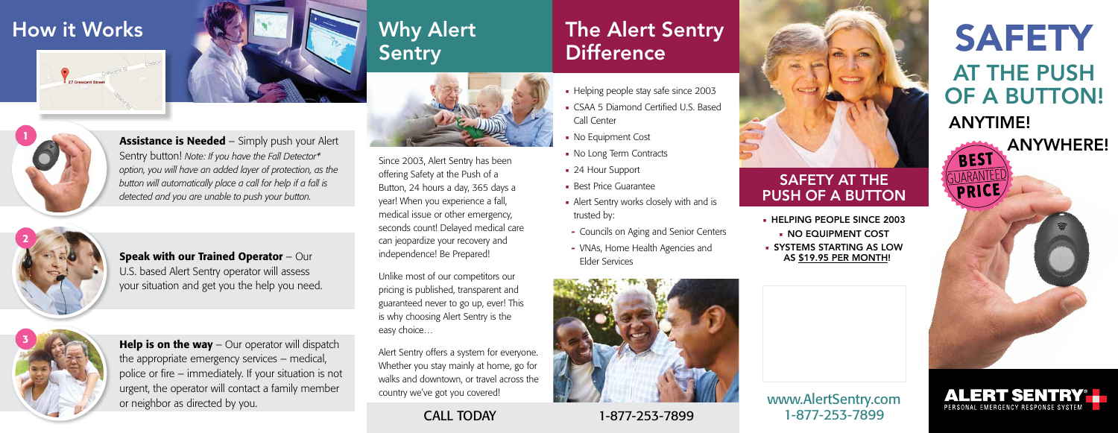www.AlertSentry.com 1-877-253-7899

- **HELPING PEOPLE SINCE 2003**
- NO EQUIPMENT COST
- **SYSTEMS STARTING AS LOW** AS \$19.95 PER MONTH!





**ALERT SENTRY®L** 

PERSONAL EMERGENCY RESPONSE SY

### SAFETY AT THE PUSH OF A BUTTON

## Why Alert Sentry



Since 2003, Alert Sentry has been offering Safety at the Push of a Button, 24 hours a day, 365 days a year! When you experience a fall, medical issue or other emergency, seconds count! Delayed medical care can jeopardize your recovery and independence! Be Prepared!

## The Alert Sentry **Difference**

- 
- CSAA 5 Diamond Certified U.S. Based Call Center
- 
- 
- 
- 
- trusted by:
- 
- 



Unlike most of our competitors our pricing is published, transparent and guaranteed never to go up, ever! This is why choosing Alert Sentry is the easy choice…

**Help is on the way**  $-$  Our operator will dispatch the appropriate emergency services – medical, police or fire – immediately. If your situation is not urgent, the operator will contact a family member or neighbor as directed by you.

Alert Sentry offers a system for everyone. Whether you stay mainly at home, go for walks and downtown, or travel across the country we've got you covered!

**Assistance is Needed** – Simply push your Alert Sentry button! *Note: If you have the Fall Detector\* option, you will have an added layer of protection, as the button will automatically place a call for help if a fall is detected and you are unable to push your button.*

- Helping people stay safe since 2003
- No Equipment Cost
- No Long Term Contracts
- 24 Hour Support
- Best Price Guarantee
- Alert Sentry works closely with and is
- **-** Councils on Aging and Senior Centers
- **-** VNAs, Home Health Agencies and Elder Services

## How it Works





Speak with our Trained Operator – Our U.S. based Alert Sentry operator will assess your situation and get you the help you need.



# 2



CALL TODAY 1-877-253-7899